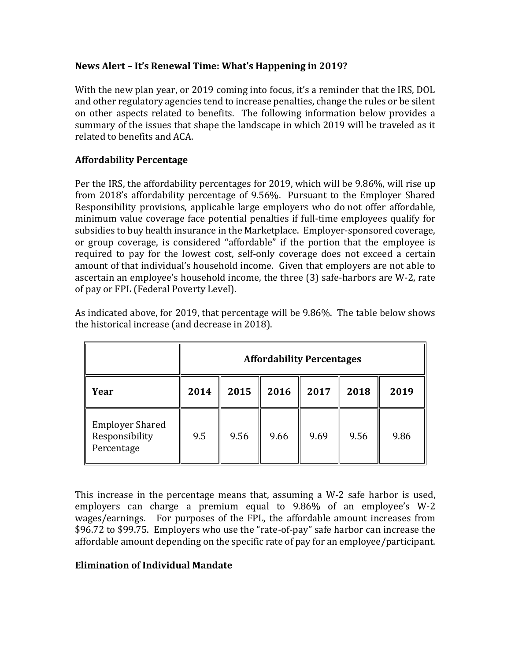### **News Alert – It's Renewal Time: What's Happening in 2019?**

With the new plan year, or 2019 coming into focus, it's a reminder that the IRS, DOL and other regulatory agencies tend to increase penalties, change the rules or be silent on other aspects related to benefits. The following information below provides a summary of the issues that shape the landscape in which 2019 will be traveled as it related to benefits and ACA.

# **Affordability Percentage**

Per the IRS, the affordability percentages for 2019, which will be 9.86%, will rise up from 2018's affordability percentage of 9.56%. Pursuant to the Employer Shared Responsibility provisions, applicable large employers who do not offer affordable, minimum value coverage face potential penalties if full-time employees qualify for subsidies to buy health insurance in the Marketplace. Employer-sponsored coverage, or group coverage, is considered "affordable" if the portion that the employee is required to pay for the lowest cost, self-only coverage does not exceed a certain amount of that individual's household income. Given that employers are not able to ascertain an employee's household income, the three (3) safe-harbors are W-2, rate of pay or FPL (Federal Poverty Level).

As indicated above, for 2019, that percentage will be 9.86%. The table below shows the historical increase (and decrease in 2018).

|                                                        | <b>Affordability Percentages</b> |      |      |      |      |      |
|--------------------------------------------------------|----------------------------------|------|------|------|------|------|
| Year                                                   | 2014                             | 2015 | 2016 | 2017 | 2018 | 2019 |
| <b>Employer Shared</b><br>Responsibility<br>Percentage | 9.5                              | 9.56 | 9.66 | 9.69 | 9.56 | 9.86 |

This increase in the percentage means that, assuming a W-2 safe harbor is used, employers can charge a premium equal to 9.86% of an employee's W-2 wages/earnings. For purposes of the FPL, the affordable amount increases from \$96.72 to \$99.75. Employers who use the "rate-of-pay" safe harbor can increase the affordable amount depending on the specific rate of pay for an employee/participant.

#### **Elimination of Individual Mandate**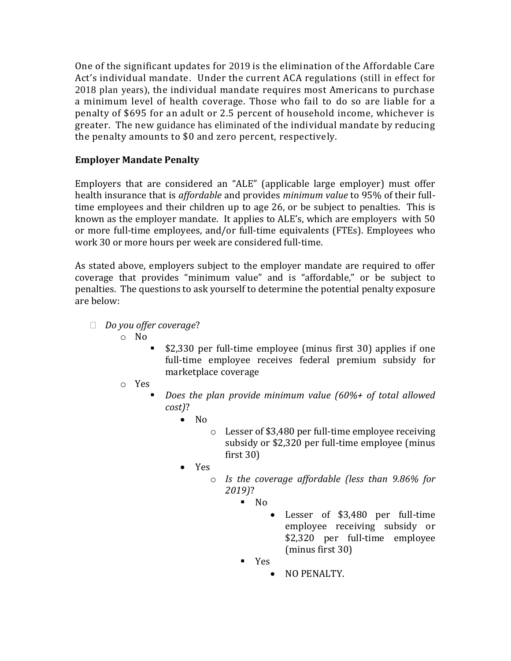One of the significant updates for 2019 is the elimination of the Affordable Care Act's individual mandate. Under the current ACA regulations (still in effect for 2018 plan years), the individual mandate requires most Americans to purchase a minimum level of health coverage. Those who fail to do so are liable for a penalty of \$695 for an adult or 2.5 percent of household income, whichever is greater. The new guidance has eliminated of the individual mandate by reducing the penalty amounts to \$0 and zero percent, respectively.

# **Employer Mandate Penalty**

Employers that are considered an "ALE" (applicable large employer) must offer health insurance that is *affordable* and provides *minimum value* to 95% of their fulltime employees and their children up to age 26, or be subject to penalties. This is known as the employer mandate. It applies to ALE's, which are employers with 50 or more full-time employees, and/or full-time equivalents (FTEs). Employees who work 30 or more hours per week are considered full-time.

As stated above, employers subject to the employer mandate are required to offer coverage that provides "minimum value" and is "affordable," or be subject to penalties. The questions to ask yourself to determine the potential penalty exposure are below:

- *Do you offer coverage*?
	- o No
- \$2,330 per full-time employee (minus first 30) applies if one full-time employee receives federal premium subsidy for marketplace coverage
- o Yes
	- *Does the plan provide minimum value (60%+ of total allowed cost)*?
		- No
			- o Lesser of \$3,480 per full-time employee receiving subsidy or \$2,320 per full-time employee (minus first 30)
		- Yes
			- o *Is the coverage affordable (less than 9.86% for 2019)*?
				- $\blacksquare$  No
					- Lesser of \$3,480 per full-time employee receiving subsidy or \$2,320 per full-time employee (minus first 30)
				- Yes
					- NO PENALTY.